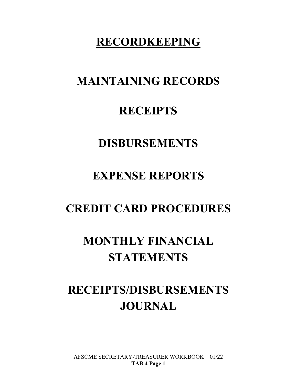## **RECORDKEEPING**

## **MAINTAINING RECORDS**

### **RECEIPTS**

## **DISBURSEMENTS**

## **EXPENSE REPORTS**

## **CREDIT CARD PROCEDURES**

# **MONTHLY FINANCIAL STATEMENTS**

# **RECEIPTS/DISBURSEMENTS JOURNAL**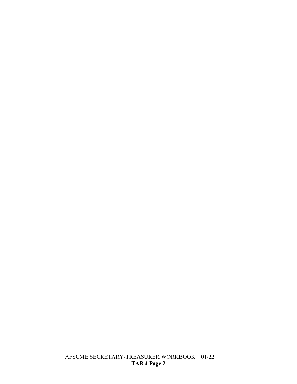AFSCME SECRETARY-TREASURER WORKBOOK 01/22 **TAB 4 Page 2**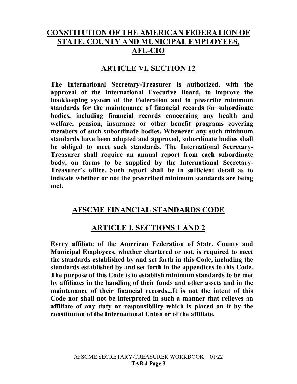#### **CONSTITUTION OF THE AMERICAN FEDERATION OF STATE, COUNTY AND MUNICIPAL EMPLOYEES, AFL-CIO**

#### **ARTICLE VI, SECTION 12**

**The International Secretary-Treasurer is authorized, with the approval of the International Executive Board, to improve the bookkeeping system of the Federation and to prescribe minimum standards for the maintenance of financial records for subordinate bodies, including financial records concerning any health and welfare, pension, insurance or other benefit programs covering members of such subordinate bodies. Whenever any such minimum standards have been adopted and approved, subordinate bodies shall be obliged to meet such standards. The International Secretary-Treasurer shall require an annual report from each subordinate body, on forms to be supplied by the International Secretary-Treasurer's office. Such report shall be in sufficient detail as to indicate whether or not the prescribed minimum standards are being met.**

#### **AFSCME FINANCIAL STANDARDS CODE**

#### **ARTICLE I, SECTIONS 1 AND 2**

**Every affiliate of the American Federation of State, County and Municipal Employees, whether chartered or not, is required to meet the standards established by and set forth in this Code, including the standards established by and set forth in the appendices to this Code. The purpose of this Code is to establish minimum standards to be met by affiliates in the handling of their funds and other assets and in the maintenance of their financial records...It is not the intent of this Code nor shall not be interpreted in such a manner that relieves an affiliate of any duty or responsibility which is placed on it by the constitution of the International Union or of the affiliate.**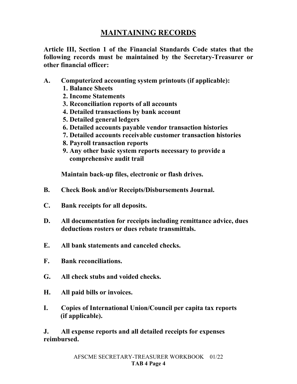### **MAINTAINING RECORDS**

**Article III, Section 1 of the Financial Standards Code states that the following records must be maintained by the Secretary-Treasurer or other financial officer:**

- **A. Computerized accounting system printouts (if applicable):**
	- **1. Balance Sheets**
	- **2. Income Statements**
	- **3. Reconciliation reports of all accounts**
	- **4. Detailed transactions by bank account**
	- **5. Detailed general ledgers**
	- **6. Detailed accounts payable vendor transaction histories**
	- **7. Detailed accounts receivable customer transaction histories**
	- **8. Payroll transaction reports**
	- **9. Any other basic system reports necessary to provide a comprehensive audit trail**

**Maintain back-up files, electronic or flash drives.**

- **B. Check Book and/or Receipts/Disbursements Journal.**
- **C. Bank receipts for all deposits.**
- **D. All documentation for receipts including remittance advice, dues deductions rosters or dues rebate transmittals.**
- **E. All bank statements and canceled checks.**
- **F. Bank reconciliations.**
- **G. All check stubs and voided checks.**
- **H. All paid bills or invoices.**
- **I. Copies of International Union/Council per capita tax reports (if applicable).**

**J. All expense reports and all detailed receipts for expenses reimbursed.**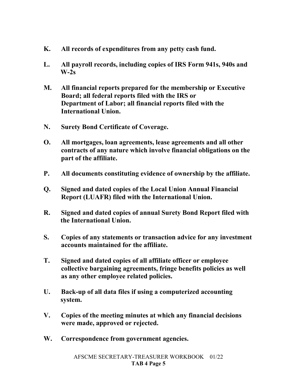- **K. All records of expenditures from any petty cash fund.**
- **L. All payroll records, including copies of IRS Form 941s, 940s and W-2s**
- **M. All financial reports prepared for the membership or Executive Board; all federal reports filed with the IRS or Department of Labor; all financial reports filed with the International Union.**
- **N. Surety Bond Certificate of Coverage.**
- **O. All mortgages, loan agreements, lease agreements and all other contracts of any nature which involve financial obligations on the part of the affiliate.**
- **P. All documents constituting evidence of ownership by the affiliate.**
- **Q. Signed and dated copies of the Local Union Annual Financial Report (LUAFR) filed with the International Union.**
- **R. Signed and dated copies of annual Surety Bond Report filed with the International Union.**
- **S. Copies of any statements or transaction advice for any investment accounts maintained for the affiliate.**
- **T. Signed and dated copies of all affiliate officer or employee collective bargaining agreements, fringe benefits policies as well as any other employee related policies.**
- **U. Back-up of all data files if using a computerized accounting system.**
- **V. Copies of the meeting minutes at which any financial decisions were made, approved or rejected.**
- **W. Correspondence from government agencies.**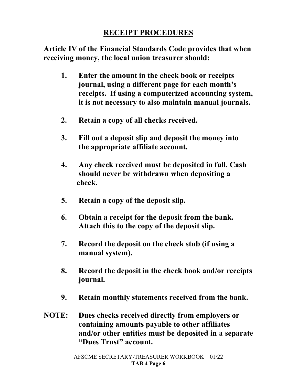### **RECEIPT PROCEDURES**

**Article IV of the Financial Standards Code provides that when receiving money, the local union treasurer should:**

- **1. Enter the amount in the check book or receipts journal, using a different page for each month's receipts. If using a computerized accounting system, it is not necessary to also maintain manual journals.**
- **2. Retain a copy of all checks received.**
- **3. Fill out a deposit slip and deposit the money into the appropriate affiliate account.**
- **4. Any check received must be deposited in full. Cash should never be withdrawn when depositing a check.**
- **5. Retain a copy of the deposit slip.**
- **6. Obtain a receipt for the deposit from the bank. Attach this to the copy of the deposit slip.**
- **7. Record the deposit on the check stub (if using a manual system).**
- **8. Record the deposit in the check book and/or receipts journal.**
- **9. Retain monthly statements received from the bank.**
- **NOTE: Dues checks received directly from employers or containing amounts payable to other affiliates and/or other entities must be deposited in a separate "Dues Trust" account.**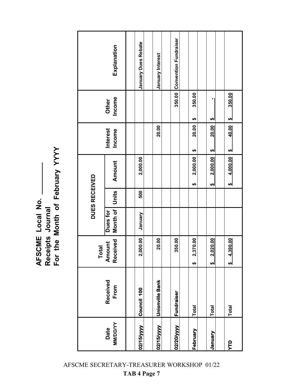AFSCME Local No.<br>Receipts Journal<br>For the Month of February YYYY **For the Month of February YYYY AFSCME Local No. \_\_\_\_\_\_\_\_ Receipts Journal**

|                        |                  | Total                                       |                      | <b>DUES RECEIVED</b> |                       |                     |                                 |                              |
|------------------------|------------------|---------------------------------------------|----------------------|----------------------|-----------------------|---------------------|---------------------------------|------------------------------|
| <b>MMDD/YY</b><br>Date | Received<br>From | Received<br>$\overline{\mathbf{E}}$<br>Amou | Month of<br>Dues for | Units                | Amount                | Interest<br>Income  | Income<br>Other                 | Explanation                  |
|                        |                  |                                             |                      |                      |                       |                     |                                 |                              |
| 02/15/yyyy             | Council 100      | 2,000.00                                    | January              | 500                  | 2,000.00              |                     |                                 | <b>January Dues Rebate</b>   |
|                        |                  |                                             |                      |                      |                       |                     |                                 |                              |
| 02/15/yyyy             | Unionville Bank  | 20.00                                       |                      |                      |                       | 20.00               |                                 | <b>January Interest</b>      |
|                        |                  |                                             |                      |                      |                       |                     |                                 |                              |
| 02/20/yyyy             | Fundraiser       | 350.00                                      |                      |                      |                       |                     | 350.00                          | <b>Convention Fundraiser</b> |
|                        |                  |                                             |                      |                      |                       |                     |                                 |                              |
| February               | Total            | <b>00.01</b><br>2,37<br>$\bullet$           |                      |                      | 2,000.00<br>$\bullet$ | 20.00<br>မာ         | 350.00<br>မာ                    |                              |
|                        |                  |                                             |                      |                      |                       |                     |                                 |                              |
| Vienuary               | Total            | 2,020.00<br>ٳ                               |                      |                      | 2,000.00<br>لم        | 20.00<br><u>မ</u> ှ | မာ                              |                              |
|                        |                  |                                             |                      |                      |                       |                     |                                 |                              |
| <u>рт</u>              | <b>Total</b>     | 4,390.00<br>မာ                              |                      |                      | 4,000.00<br>ക         | 40.00<br>$\bullet$  | 350.00<br>$\boldsymbol{\omega}$ |                              |
|                        |                  |                                             |                      |                      |                       |                     |                                 |                              |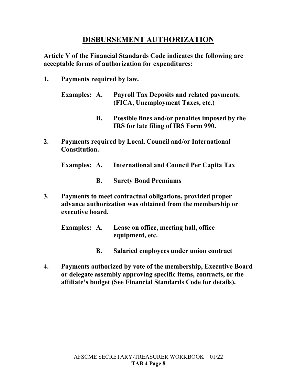#### **DISBURSEMENT AUTHORIZATION**

**Article V of the Financial Standards Code indicates the following are acceptable forms of authorization for expenditures:**

**1. Payments required by law.**

| <b>Examples: A.</b> | <b>Payroll Tax Deposits and related payments.</b><br>(FICA, Unemployment Taxes, etc.) |
|---------------------|---------------------------------------------------------------------------------------|
|                     |                                                                                       |

- **B. Possible fines and/or penalties imposed by the IRS for late filing of IRS Form 990.**
- **2. Payments required by Local, Council and/or International Constitution.**

**Examples: A. International and Council Per Capita Tax** 

- **B. Surety Bond Premiums**
- **3. Payments to meet contractual obligations, provided proper advance authorization was obtained from the membership or executive board.** 
	- **Examples: A. Lease on office, meeting hall, office equipment, etc.**
		- **B. Salaried employees under union contract**
- **4. Payments authorized by vote of the membership, Executive Board or delegate assembly approving specific items, contracts, or the affiliate's budget (See Financial Standards Code for details).**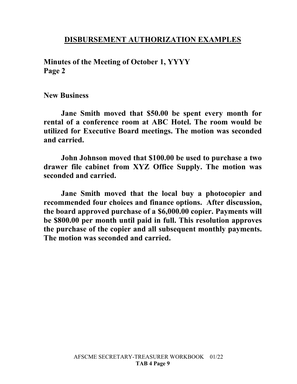#### **DISBURSEMENT AUTHORIZATION EXAMPLES**

**Minutes of the Meeting of October 1, YYYY Page 2**

**New Business**

**Jane Smith moved that \$50.00 be spent every month for rental of a conference room at ABC Hotel. The room would be utilized for Executive Board meetings. The motion was seconded and carried.**

**John Johnson moved that \$100.00 be used to purchase a two drawer file cabinet from XYZ Office Supply. The motion was seconded and carried.**

**Jane Smith moved that the local buy a photocopier and recommended four choices and finance options. After discussion, the board approved purchase of a \$6,000.00 copier. Payments will be \$800.00 per month until paid in full. This resolution approves the purchase of the copier and all subsequent monthly payments. The motion was seconded and carried.**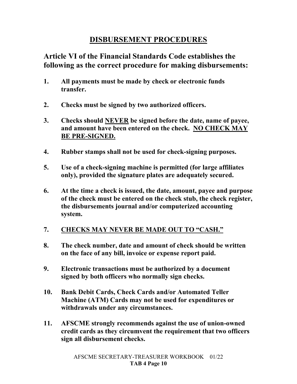#### **DISBURSEMENT PROCEDURES**

#### **Article VI of the Financial Standards Code establishes the following as the correct procedure for making disbursements:**

- **1. All payments must be made by check or electronic funds transfer.**
- **2. Checks must be signed by two authorized officers.**
- **3. Checks should NEVER be signed before the date, name of payee, and amount have been entered on the check. NO CHECK MAY BE PRE-SIGNED.**
- **4. Rubber stamps shall not be used for check-signing purposes.**
- **5. Use of a check-signing machine is permitted (for large affiliates only), provided the signature plates are adequately secured.**
- **6. At the time a check is issued, the date, amount, payee and purpose of the check must be entered on the check stub, the check register, the disbursements journal and/or computerized accounting system.**

#### **7. CHECKS MAY NEVER BE MADE OUT TO "CASH."**

- **8. The check number, date and amount of check should be written on the face of any bill, invoice or expense report paid.**
- **9. Electronic transactions must be authorized by a document signed by both officers who normally sign checks.**
- **10. Bank Debit Cards, Check Cards and/or Automated Teller Machine (ATM) Cards may not be used for expenditures or withdrawals under any circumstances.**
- **11. AFSCME strongly recommends against the use of union-owned credit cards as they circumvent the requirement that two officers sign all disbursement checks.**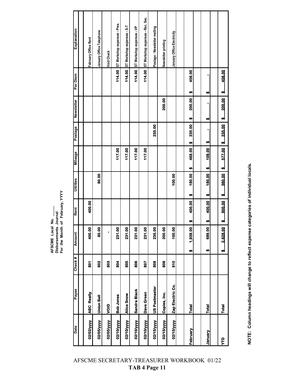AFSCME Local No.<br>Disbursements Journal<br>For the Month of February, YYYY **For the Month of February, YYYY AFSCME Local No. \_\_\_\_\_ Disbursements Journal**

|                                         | 456.00<br>ø    | 200.00<br><b>SO</b> | 235.00<br>ۯ | 577.00<br>₩ | 360.00<br>÷ | 800.00<br>÷ | 2,628.00<br>€       |            | Total                | E          |
|-----------------------------------------|----------------|---------------------|-------------|-------------|-------------|-------------|---------------------|------------|----------------------|------------|
|                                         |                |                     |             |             |             |             |                     |            |                      |            |
|                                         | ٠<br><b>SO</b> | <b>SO</b>           | ٠<br>Ø)     | 109.00<br>₩ | 180.00<br>₩ | 400.00<br>₩ | 689.00<br><b>SO</b> |            | Total                | January    |
|                                         |                |                     |             |             |             |             |                     |            |                      |            |
|                                         | 456.00<br>H    | 200.00<br>Ø         | 235.00<br>₩ | 468.00<br>₩ | 180.00<br>₩ | 400.00<br>₩ | 1,939.00<br>m       |            | Total                | February   |
|                                         |                |                     |             |             |             |             |                     |            |                      |            |
| January Office Electricity              |                |                     |             |             | 100.00      |             | 100.00              | 810        | Zap Electric Co.     | 02/15/yyyy |
| Newsletter printing                     |                | 200.00              |             |             |             |             | 200.00              | 809        | Copies, Inc.         | 02/15/yyyy |
| Postage - Newsletter mailing            |                |                     | 235.00      |             |             |             | 235.00              | 808        | <b>US Postmaster</b> | 02/15/yyyy |
| 114.00 ST Workshop expenses - Rec. Sec. |                |                     |             | 117.00      |             |             | 231.00              | <b>208</b> | Dave Green           | 02/10/yyyy |
| 114.00 ST Workshop expenses - VP        |                |                     |             | 117.00      |             |             | 231.00              | 806        | Sandra Black         | 02/10/yyyy |
| ST Workshop expenses - S-T              | 114.00         |                     |             | 117.00      |             |             | 231.00              | 805        | Alice Snow           | 02/10/yyyy |
| 114.00 ST Workshop expenses - Pres.     |                |                     |             | 117.00      |             |             | 231.00              | 804        | <b>Bob Jones</b>     | 02/10/yyyy |
| Void Check                              |                |                     |             |             |             |             | $\bullet$           | 803        | <u>oiov</u>          | 02/05/yyyy |
| January Office Telephone                |                |                     |             |             | 80.00       |             | 80.00               | 802        | Union Bell           | 02/05/yyyy |
| February Office Rent                    |                |                     |             |             |             | 400.00      | 400.00              | <b>607</b> | <b>ABC Realty</b>    | 02/02/yyyy |
| Explanation                             | Per Diem       | Newsletter          | Postage     | Mileage     | Utilities   | Rent        | Amount              | Check#     | Payee                | Date       |

NOTE: Column headings will change to reflect expense categories of individual locals. **NOTE: Column headings will change to reflect expense categories of individual locals.**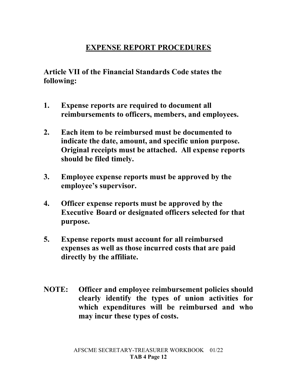#### **EXPENSE REPORT PROCEDURES**

**Article VII of the Financial Standards Code states the following:**

- **1. Expense reports are required to document all reimbursements to officers, members, and employees.**
- **2. Each item to be reimbursed must be documented to indicate the date, amount, and specific union purpose. Original receipts must be attached. All expense reports should be filed timely.**
- **3. Employee expense reports must be approved by the employee's supervisor.**
- **4. Officer expense reports must be approved by the Executive Board or designated officers selected for that purpose.**
- **5. Expense reports must account for all reimbursed expenses as well as those incurred costs that are paid directly by the affiliate.**
- **NOTE: Officer and employee reimbursement policies should clearly identify the types of union activities for which expenditures will be reimbursed and who may incur these types of costs.**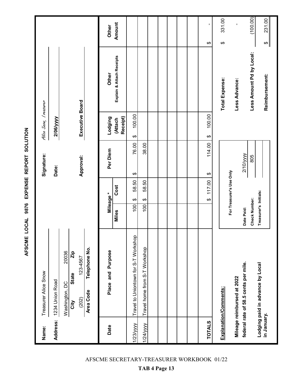AFSCME LOCAL 9876 EXPENSE REPORT SOLUTION **AFSCME LOCAL 9876 EXPENSE REPORT SOLUTION**

| Name:         | Treasurer Alice Snow                                                                               |                       |                                  | Signature:                       | Hlice Snow, I reasurer           |                           |                     |
|---------------|----------------------------------------------------------------------------------------------------|-----------------------|----------------------------------|----------------------------------|----------------------------------|---------------------------|---------------------|
| Address:      | 1234 Union Road                                                                                    |                       |                                  | Date:                            | 2/06/yyyy                        |                           |                     |
|               | Telephone No.<br>20036<br>Zip<br>123-4567<br>State<br>Washington, DC<br>Area Code<br>(202)<br>City |                       |                                  | <b>Approval:</b>                 | Executive Board                  |                           |                     |
| Date          | Place and Purpose                                                                                  |                       | <b>Mileage</b> *                 | Per Diem                         | Lodging                          | Other                     | Other               |
|               |                                                                                                    | Miles                 | Cost                             |                                  | Receipt)<br><b>Attach</b>        | Explain & Attach Receipts | <b>Amount</b>       |
| 1/23/yyy      | Travel to Uniontown for S-T Workshop                                                               | 100                   | 58.50<br>$\boldsymbol{\varphi}$  | 76.00<br>↔                       | 100.00<br>$\boldsymbol{\varphi}$ |                           |                     |
| 1/24/yyyy     | Travel home from S-T Workshop                                                                      | 100                   | 58.50<br>↔                       | 38.00                            |                                  |                           |                     |
|               |                                                                                                    |                       |                                  |                                  |                                  |                           |                     |
|               |                                                                                                    |                       |                                  |                                  |                                  |                           |                     |
|               |                                                                                                    |                       |                                  |                                  |                                  |                           |                     |
|               |                                                                                                    |                       |                                  |                                  |                                  |                           |                     |
|               |                                                                                                    |                       |                                  |                                  |                                  |                           |                     |
| <b>TOTALS</b> |                                                                                                    |                       | 117.00<br>$\boldsymbol{\varphi}$ | 114.00<br>$\boldsymbol{\varphi}$ | 100.00<br>$\boldsymbol{\varphi}$ |                           | $\blacksquare$<br>↮ |
|               | Explanation/Comments:                                                                              |                       |                                  |                                  |                                  | <b>Total Expense:</b>     | 331.00<br>↮         |
|               |                                                                                                    |                       | For Treasurer's Use Only         |                                  |                                  |                           |                     |
|               | federal rate of 58.5 cents per mile.<br>Mileage reimbursed at 2022                                 | Date Paid:            |                                  | 2/10/yyy                         |                                  | Less Advance:             | $\mathbf{I}$        |
|               |                                                                                                    | <b>Check Number:</b>  |                                  | 805                              |                                  | Less Amount Pd by Local:  | (100.00)            |
| in January.   | Lodging paid in advance by Local                                                                   | Treasurer's Initials: |                                  |                                  |                                  | Reimbursement:            | 231.00<br>↔         |
|               |                                                                                                    |                       |                                  |                                  |                                  |                           |                     |

**TAB 4 Page 13**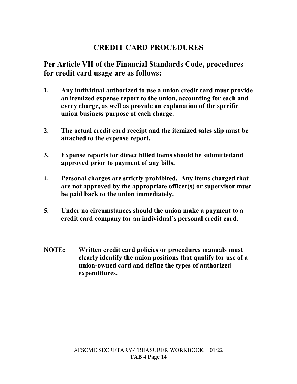### **CREDIT CARD PROCEDURES**

**Per Article VII of the Financial Standards Code, procedures for credit card usage are as follows:**

- **1. Any individual authorized to use a union credit card must provide an itemized expense report to the union, accounting for each and every charge, as well as provide an explanation of the specific union business purpose of each charge.**
- **2. The actual credit card receipt and the itemized sales slip must be attached to the expense report.**
- **3. Expense reports for direct billed items should be submittedand approved prior to payment of any bills.**
- **4. Personal charges are strictly prohibited. Any items charged that are not approved by the appropriate officer(s) or supervisor must be paid back to the union immediately.**
- **5. Under no circumstances should the union make a payment to a credit card company for an individual's personal credit card.**
- **NOTE: Written credit card policies or procedures manuals must clearly identify the union positions that qualify for use of a union-owned card and define the types of authorized expenditures.**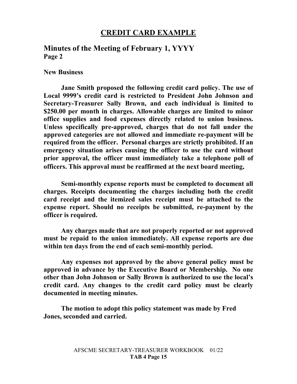#### **CREDIT CARD EXAMPLE**

#### **Minutes of the Meeting of February 1, YYYY Page 2**

#### **New Business**

**Jane Smith proposed the following credit card policy. The use of Local 9999's credit card is restricted to President John Johnson and Secretary-Treasurer Sally Brown, and each individual is limited to \$250.00 per month in charges. Allowable charges are limited to minor office supplies and food expenses directly related to union business. Unless specifically pre-approved, charges that do not fall under the approved categories are not allowed and immediate re-payment will be required from the officer. Personal charges are strictly prohibited. If an emergency situation arises causing the officer to use the card without prior approval, the officer must immediately take a telephone poll of officers. This approval must be reaffirmed at the next board meeting.** 

**Semi-monthly expense reports must be completed to document all charges. Receipts documenting the charges including both the credit card receipt and the itemized sales receipt must be attached to the expense report. Should no receipts be submitted, re-payment by the officer is required.**

**Any charges made that are not properly reported or not approved must be repaid to the union immediately. All expense reports are due within ten days from the end of each semi-monthly period.**

**Any expenses not approved by the above general policy must be approved in advance by the Executive Board or Membership. No one other than John Johnson or Sally Brown is authorized to use the local's credit card. Any changes to the credit card policy must be clearly documented in meeting minutes.** 

**The motion to adopt this policy statement was made by Fred Jones, seconded and carried.**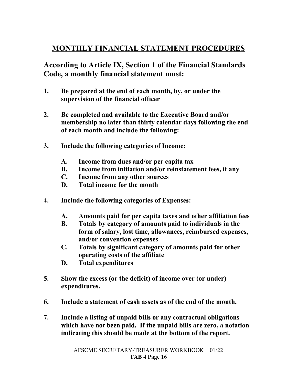#### **MONTHLY FINANCIAL STATEMENT PROCEDURES**

**According to Article IX, Section 1 of the Financial Standards Code, a monthly financial statement must:**

- **1. Be prepared at the end of each month, by, or under the supervision of the financial officer**
- **2. Be completed and available to the Executive Board and/or membership no later than thirty calendar days following the end of each month and include the following:**
- **3. Include the following categories of Income:**
	- **A. Income from dues and/or per capita tax**
	- **B. Income from initiation and/or reinstatement fees, if any**
	- **C. Income from any other sources**
	- **D. Total income for the month**
- **4. Include the following categories of Expenses:**
	- **A. Amounts paid for per capita taxes and other affiliation fees**
	- **B. Totals by category of amounts paid to individuals in the form of salary, lost time, allowances, reimbursed expenses, and/or convention expenses**
	- **C. Totals by significant category of amounts paid for other operating costs of the affiliate**
	- **D. Total expenditures**
- **5. Show the excess (or the deficit) of income over (or under) expenditures.**
- **6. Include a statement of cash assets as of the end of the month.**
- **7. Include a listing of unpaid bills or any contractual obligations which have not been paid. If the unpaid bills are zero, a notation indicating this should be made at the bottom of the report.**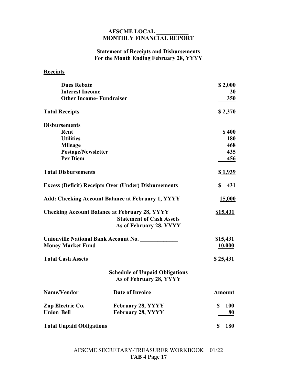#### **AFSCME LOCAL \_\_\_\_\_\_\_\_\_\_\_ MONTHLY FINANCIAL REPORT**

#### **Statement of Receipts and Disbursements For the Month Ending February 28, YYYY**

**Receipts**

| <b>Dues Rebate</b>              |                                                                                                                    |                 |
|---------------------------------|--------------------------------------------------------------------------------------------------------------------|-----------------|
| <b>Interest Income</b>          |                                                                                                                    | \$2,000<br>20   |
| <b>Other Income-Fundraiser</b>  |                                                                                                                    | <b>350</b>      |
|                                 |                                                                                                                    |                 |
| <b>Total Receipts</b>           |                                                                                                                    | \$2,370         |
| <b>Disbursements</b>            |                                                                                                                    |                 |
| Rent                            |                                                                                                                    | \$400           |
| <b>Utilities</b>                |                                                                                                                    | 180             |
| <b>Mileage</b>                  |                                                                                                                    | 468             |
| Postage/Newsletter              |                                                                                                                    | 435             |
| <b>Per Diem</b>                 |                                                                                                                    | 456             |
| <b>Total Disbursements</b>      |                                                                                                                    | \$1,939         |
|                                 | <b>Excess (Deficit) Receipts Over (Under) Disbursements</b>                                                        | 431<br>\$       |
|                                 | <b>Add: Checking Account Balance at February 1, YYYY</b>                                                           | <u>15,000</u>   |
|                                 | <b>Checking Account Balance at February 28, YYYY</b><br><b>Statement of Cash Assets</b><br>As of February 28, YYYY | <u>\$15,431</u> |
|                                 | Unionville National Bank Account No.                                                                               | \$15,431        |
| <b>Money Market Fund</b>        |                                                                                                                    | 10,000          |
| <b>Total Cash Assets</b>        |                                                                                                                    | <u>\$25,431</u> |
|                                 | <b>Schedule of Unpaid Obligations</b><br>As of February 28, YYYY                                                   |                 |
| Name/Vendor                     | <b>Date of Invoice</b>                                                                                             | <b>Amount</b>   |
| Zap Electric Co.                | February 28, YYYY                                                                                                  | <b>S</b><br>100 |
| <b>Union Bell</b>               | February 28, YYYY                                                                                                  | 80              |
| <b>Total Unpaid Obligations</b> |                                                                                                                    | \$180           |

AFSCME SECRETARY-TREASURER WORKBOOK 01/22 **TAB 4 Page 17**